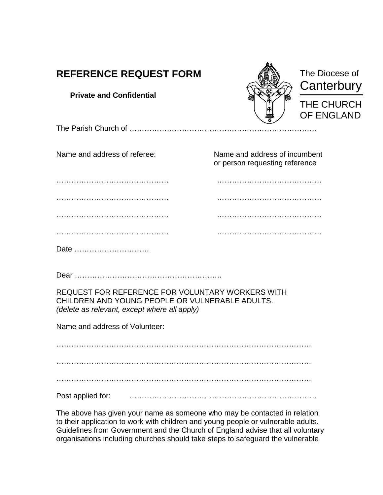| <b>REFERENCE REQUEST FORM</b>                                                                                                                                  |                                                                 | The Diocese of<br>Canterbury |
|----------------------------------------------------------------------------------------------------------------------------------------------------------------|-----------------------------------------------------------------|------------------------------|
| <b>Private and Confidential</b>                                                                                                                                |                                                                 | THE CHURCH<br>OF ENGLAND     |
|                                                                                                                                                                |                                                                 |                              |
| Name and address of referee:                                                                                                                                   | Name and address of incumbent<br>or person requesting reference |                              |
|                                                                                                                                                                |                                                                 |                              |
|                                                                                                                                                                |                                                                 |                              |
|                                                                                                                                                                |                                                                 |                              |
|                                                                                                                                                                |                                                                 |                              |
| Date                                                                                                                                                           |                                                                 |                              |
|                                                                                                                                                                |                                                                 |                              |
| REQUEST FOR REFERENCE FOR VOLUNTARY WORKERS WITH<br>CHILDREN AND YOUNG PEOPLE OR VULNERABLE ADULTS.<br>(delete as relevant, except where all apply)            |                                                                 |                              |
| Name and address of Volunteer:                                                                                                                                 |                                                                 |                              |
|                                                                                                                                                                |                                                                 |                              |
|                                                                                                                                                                |                                                                 |                              |
|                                                                                                                                                                |                                                                 |                              |
| Post applied for:                                                                                                                                              |                                                                 |                              |
| The above has given your name as someone who may be contacted in relation<br>to their application to work with children and young people or vulnerable adults. |                                                                 |                              |

Guidelines from Government and the Church of England advise that all voluntary organisations including churches should take steps to safeguard the vulnerable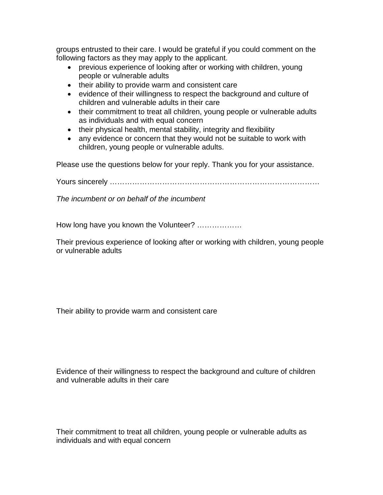groups entrusted to their care. I would be grateful if you could comment on the following factors as they may apply to the applicant.

- previous experience of looking after or working with children, young people or vulnerable adults
- their ability to provide warm and consistent care
- evidence of their willingness to respect the background and culture of children and vulnerable adults in their care
- their commitment to treat all children, young people or vulnerable adults as individuals and with equal concern
- their physical health, mental stability, integrity and flexibility
- any evidence or concern that they would not be suitable to work with children, young people or vulnerable adults.

Please use the questions below for your reply. Thank you for your assistance.

Yours sincerely …………………………………………………………………………

*The incumbent or on behalf of the incumbent*

How long have you known the Volunteer? ………………

Their previous experience of looking after or working with children, young people or vulnerable adults

Their ability to provide warm and consistent care

Evidence of their willingness to respect the background and culture of children and vulnerable adults in their care

Their commitment to treat all children, young people or vulnerable adults as individuals and with equal concern